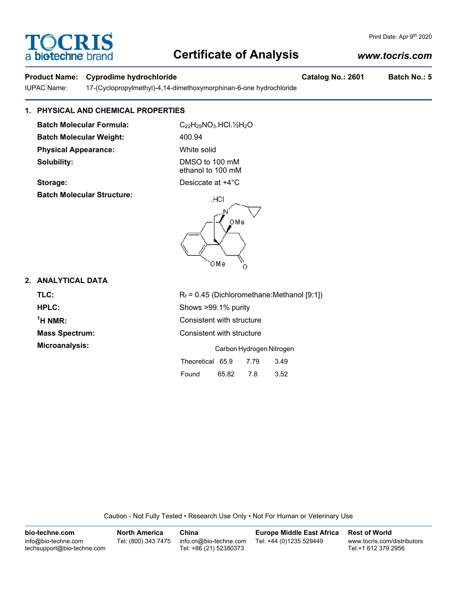# **TOCRIS** a biotechne br

## **Certificate of Analysis**

## *www.tocris.com*

Print Date: Apr 9th 2020

## **Product Name: Cyprodime hydrochloride Catalog No.: 2601 Batch No.: 5**

IUPAC Name: 17-(Cyclopropylmethyl)-4,14-dimethoxymorphinan-6-one hydrochloride

## **1. PHYSICAL AND CHEMICAL PROPERTIES**

**Batch Molecular Formula:** C<sub>22</sub>H<sub>29</sub>NO<sub>3</sub>.HCl.½H<sub>2</sub>O Batch Molecular Weight: 400.94 **Physical Appearance:** White solid **Solubility:** DMSO to 100 mM

**Batch Molecular Structure:**

ethanol to 100 mM

**Storage:** Desiccate at  $+4^{\circ}$ C

# HCL

## **2. ANALYTICAL DATA**

**TLC:**  $R_f = 0.45$  (Dichloromethane:Methanol [9:1]) **HPLC:** Shows >99.1% purity  $<sup>1</sup>H NMR$ :</sup> **Consistent with structure Mass Spectrum:** Consistent with structure **Microanalysis:** Carbon Hydrogen Nitrogen

Theoretical 65.9 7.79 3.49 Found 65.82 7.8 3.52

Caution - Not Fully Tested • Research Use Only • Not For Human or Veterinary Use

**bio-techne.com** info@bio-techne.com techsupport@bio-techne.com **North America** Tel: (800) 343 7475 **China** info.cn@bio-techne.com Tel: +86 (21) 52380373 **Europe Middle East Africa** Tel: +44 (0)1235 529449 **Rest of World** www.tocris.com/distributors Tel:+1 612 379 2956

| ОМе                               |  |
|-----------------------------------|--|
| $R_f$ = 0.45 (Dichloromethane:Met |  |
| Shows >99.1% purity               |  |
|                                   |  |